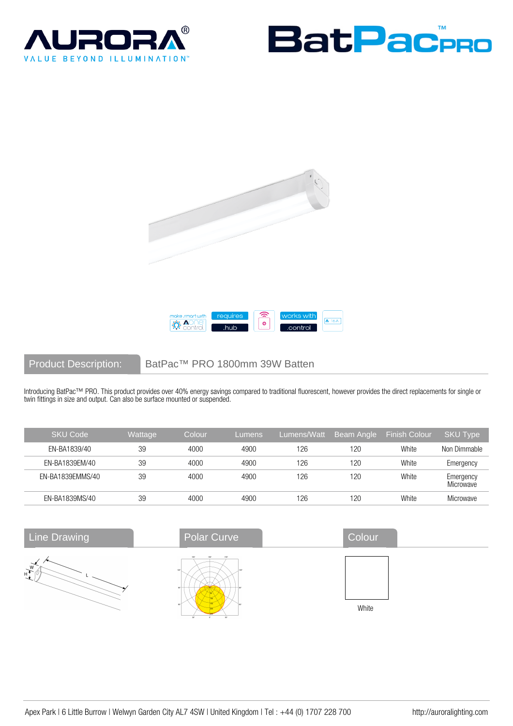







Product Description: BatPac™ PRO 1800mm 39W Batten

Introducing BatPac™ PRO. This product provides over 40% energy savings compared to traditional fluorescent, however provides the direct replacements for single or twin fittings in size and output. Can also be surface mounted or suspended.

| <b>SKU Code</b>  | Wattage | Colour | Lumens | Lumens/Watt | Beam Angle | <b>Finish Colour</b> | <b>SKU Type</b>        |
|------------------|---------|--------|--------|-------------|------------|----------------------|------------------------|
| EN-BA1839/40     | 39      | 4000   | 4900   | 126         | 120        | White                | Non Dimmable           |
| EN-BA1839EM/40   | 39      | 4000   | 4900   | 126         | 120        | White                | Emergency              |
| EN-BA1839EMMS/40 | 39      | 4000   | 4900   | 126         | 120        | White                | Emergency<br>Microwave |
| EN-BA1839MS/40   | 39      | 4000   | 4900   | 126         | 120        | White                | Microwave              |